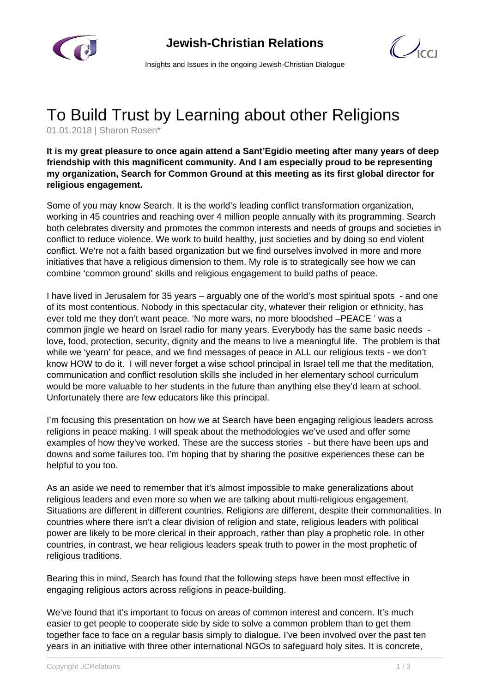



Insights and Issues in the ongoing Jewish-Christian Dialogue

## To Build Trust by Learning about other Religions

01.01.2018 | Sharon Rosen\*

## **It is my great pleasure to once again attend a Sant'Egidio meeting after many years of deep friendship with this magnificent community. And I am especially proud to be representing my organization, Search for Common Ground at this meeting as its first global director for religious engagement.**

Some of you may know Search. It is the world's leading conflict transformation organization, working in 45 countries and reaching over 4 million people annually with its programming. Search both celebrates diversity and promotes the common interests and needs of groups and societies in conflict to reduce violence. We work to build healthy, just societies and by doing so end violent conflict. We're not a faith based organization but we find ourselves involved in more and more initiatives that have a religious dimension to them. My role is to strategically see how we can combine 'common ground' skills and religious engagement to build paths of peace.

I have lived in Jerusalem for 35 years – arguably one of the world's most spiritual spots - and one of its most contentious. Nobody in this spectacular city, whatever their religion or ethnicity, has ever told me they don't want peace. 'No more wars, no more bloodshed –PEACE ' was a common jingle we heard on Israel radio for many years. Everybody has the same basic needs love, food, protection, security, dignity and the means to live a meaningful life. The problem is that while we 'yearn' for peace, and we find messages of peace in ALL our religious texts - we don't know HOW to do it. I will never forget a wise school principal in Israel tell me that the meditation, communication and conflict resolution skills she included in her elementary school curriculum would be more valuable to her students in the future than anything else they'd learn at school. Unfortunately there are few educators like this principal.

I'm focusing this presentation on how we at Search have been engaging religious leaders across religions in peace making. I will speak about the methodologies we've used and offer some examples of how they've worked. These are the success stories - but there have been ups and downs and some failures too. I'm hoping that by sharing the positive experiences these can be helpful to you too.

As an aside we need to remember that it's almost impossible to make generalizations about religious leaders and even more so when we are talking about multi-religious engagement. Situations are different in different countries. Religions are different, despite their commonalities. In countries where there isn't a clear division of religion and state, religious leaders with political power are likely to be more clerical in their approach, rather than play a prophetic role. In other countries, in contrast, we hear religious leaders speak truth to power in the most prophetic of religious traditions.

Bearing this in mind, Search has found that the following steps have been most effective in engaging religious actors across religions in peace-building.

We've found that it's important to focus on areas of common interest and concern. It's much easier to get people to cooperate side by side to solve a common problem than to get them together face to face on a regular basis simply to dialogue. I've been involved over the past ten years in an initiative with three other international NGOs to safeguard holy sites. It is concrete,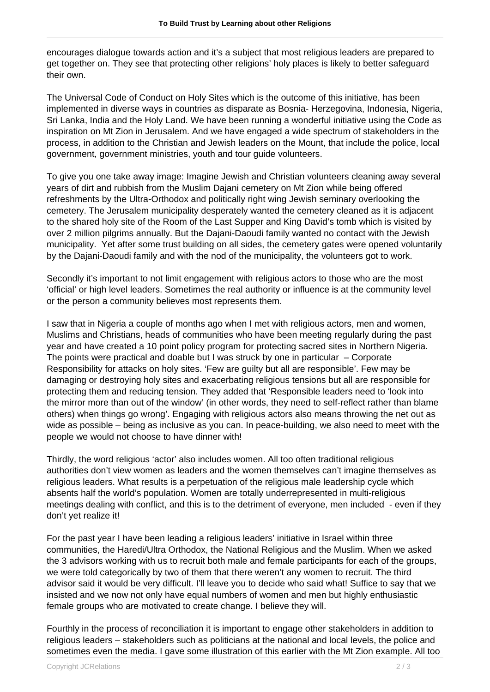encourages dialogue towards action and it's a subject that most religious leaders are prepared to get together on. They see that protecting other religions' holy places is likely to better safeguard their own.

The Universal Code of Conduct on Holy Sites which is the outcome of this initiative, has been implemented in diverse ways in countries as disparate as Bosnia- Herzegovina, Indonesia, Nigeria, Sri Lanka, India and the Holy Land. We have been running a wonderful initiative using the Code as inspiration on Mt Zion in Jerusalem. And we have engaged a wide spectrum of stakeholders in the process, in addition to the Christian and Jewish leaders on the Mount, that include the police, local government, government ministries, youth and tour guide volunteers.

To give you one take away image: Imagine Jewish and Christian volunteers cleaning away several years of dirt and rubbish from the Muslim Dajani cemetery on Mt Zion while being offered refreshments by the Ultra-Orthodox and politically right wing Jewish seminary overlooking the cemetery. The Jerusalem municipality desperately wanted the cemetery cleaned as it is adjacent to the shared holy site of the Room of the Last Supper and King David's tomb which is visited by over 2 million pilgrims annually. But the Dajani-Daoudi family wanted no contact with the Jewish municipality. Yet after some trust building on all sides, the cemetery gates were opened voluntarily by the Dajani-Daoudi family and with the nod of the municipality, the volunteers got to work.

Secondly it's important to not limit engagement with religious actors to those who are the most 'official' or high level leaders. Sometimes the real authority or influence is at the community level or the person a community believes most represents them.

I saw that in Nigeria a couple of months ago when I met with religious actors, men and women, Muslims and Christians, heads of communities who have been meeting regularly during the past year and have created a 10 point policy program for protecting sacred sites in Northern Nigeria. The points were practical and doable but I was struck by one in particular – Corporate Responsibility for attacks on holy sites. 'Few are guilty but all are responsible'. Few may be damaging or destroying holy sites and exacerbating religious tensions but all are responsible for protecting them and reducing tension. They added that 'Responsible leaders need to 'look into the mirror more than out of the window' (in other words, they need to self-reflect rather than blame others) when things go wrong'. Engaging with religious actors also means throwing the net out as wide as possible – being as inclusive as you can. In peace-building, we also need to meet with the people we would not choose to have dinner with!

Thirdly, the word religious 'actor' also includes women. All too often traditional religious authorities don't view women as leaders and the women themselves can't imagine themselves as religious leaders. What results is a perpetuation of the religious male leadership cycle which absents half the world's population. Women are totally underrepresented in multi-religious meetings dealing with conflict, and this is to the detriment of everyone, men included - even if they don't yet realize it!

For the past year I have been leading a religious leaders' initiative in Israel within three communities, the Haredi/Ultra Orthodox, the National Religious and the Muslim. When we asked the 3 advisors working with us to recruit both male and female participants for each of the groups, we were told categorically by two of them that there weren't any women to recruit. The third advisor said it would be very difficult. I'll leave you to decide who said what! Suffice to say that we insisted and we now not only have equal numbers of women and men but highly enthusiastic female groups who are motivated to create change. I believe they will.

Fourthly in the process of reconciliation it is important to engage other stakeholders in addition to religious leaders – stakeholders such as politicians at the national and local levels, the police and sometimes even the media. I gave some illustration of this earlier with the Mt Zion example. All too